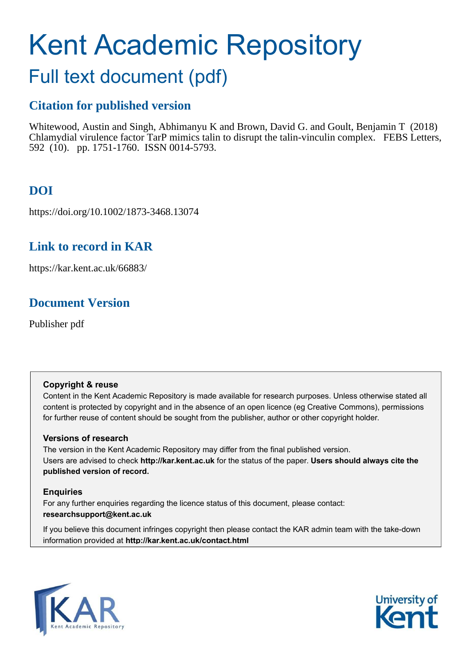# Kent Academic Repository

## Full text document (pdf)

## **Citation for published version**

Whitewood, Austin and Singh, Abhimanyu K and Brown, David G. and Goult, Benjamin T (2018) Chlamydial virulence factor TarP mimics talin to disrupt the talin-vinculin complex. FEBS Letters, 592 (10). pp. 1751-1760. ISSN 0014-5793.

## **DOI**

https://doi.org/10.1002/1873-3468.13074

## **Link to record in KAR**

https://kar.kent.ac.uk/66883/

## **Document Version**

Publisher pdf

## **Copyright & reuse**

Content in the Kent Academic Repository is made available for research purposes. Unless otherwise stated all content is protected by copyright and in the absence of an open licence (eg Creative Commons), permissions for further reuse of content should be sought from the publisher, author or other copyright holder.

## **Versions of research**

The version in the Kent Academic Repository may differ from the final published version. Users are advised to check **http://kar.kent.ac.uk** for the status of the paper. **Users should always cite the published version of record.**

## **Enquiries**

For any further enquiries regarding the licence status of this document, please contact: **researchsupport@kent.ac.uk**

If you believe this document infringes copyright then please contact the KAR admin team with the take-down information provided at **http://kar.kent.ac.uk/contact.html**



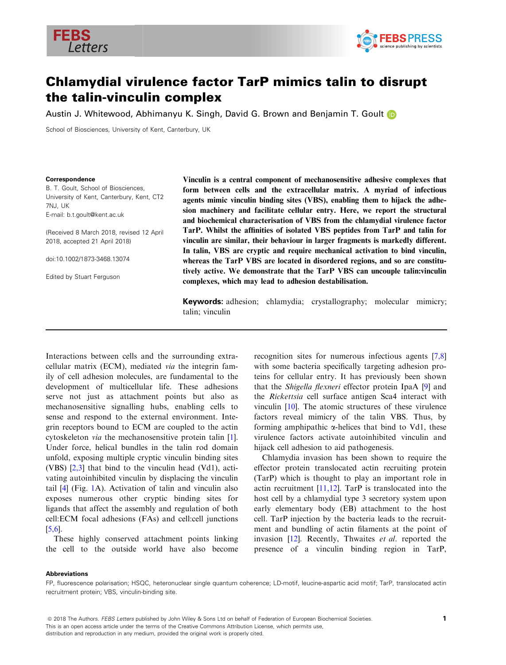<span id="page-1-0"></span>



## Chlamydial virulence factor TarP mimics talin to disrupt the talin-vinculin complex

Austin J. Whitewood, Abhimanyu K. Singh, David G. Brown and Benjamin T. Goult **D** 

School of Biosciences, University of Kent, Canterbury, UK

#### Correspondence

B. T. Goult, School of Biosciences, University of Kent, Canterbury, Kent, CT2 7NJ, UK E-mail: b.t.goult@kent.ac.uk

(Received 8 March 2018, revised 12 April 2018, accepted 21 April 2018)

doi:10.1002/1873-3468.13074

Edited by Stuart Ferguson

Vinculin is a central component of mechanosensitive adhesive complexes that form between cells and the extracellular matrix. A myriad of infectious agents mimic vinculin binding sites (VBS), enabling them to hijack the adhesion machinery and facilitate cellular entry. Here, we report the structural and biochemical characterisation of VBS from the chlamydial virulence factor TarP. Whilst the affinities of isolated VBS peptides from TarP and talin for vinculin are similar, their behaviour in larger fragments is markedly different. In talin, VBS are cryptic and require mechanical activation to bind vinculin, whereas the TarP VBS are located in disordered regions, and so are constitutively active. We demonstrate that the TarP VBS can uncouple talin:vinculin complexes, which may lead to adhesion destabilisation.

Keywords: adhesion; chlamydia; crystallography; molecular mimicry; talin; vinculin

Interactions between cells and the surrounding extracellular matrix (ECM), mediated via the integrin family of cell adhesion molecules, are fundamental to the development of multicellular life. These adhesions serve not just as attachment points but also as mechanosensitive signalling hubs, enabling cells to sense and respond to the external environment. Integrin receptors bound to ECM are coupled to the actin cytoskeleton via the mechanosensitive protein talin [\[1](#page-8-0)]. Under force, helical bundles in the talin rod domain unfold, exposing multiple cryptic vinculin binding sites (VBS) [[2,3\]](#page-8-0) that bind to the vinculin head (Vd1), activating autoinhibited vinculin by displacing the vinculin tail [\[4\]](#page-8-0) (Fig. 1A). Activation of talin and vinculin also exposes numerous other cryptic binding sites for ligands that affect the assembly and regulation of both cell:ECM focal adhesions (FAs) and cell:cell junctions [\[5,6](#page-8-0)].

These highly conserved attachment points linking the cell to the outside world have also become recognition sites for numerous infectious agents [[7,8\]](#page-8-0) with some bacteria specifically targeting adhesion proteins for cellular entry. It has previously been shown that the Shigella flexneri effector protein IpaA [\[9](#page-8-0)] and the Rickettsia cell surface antigen Sca4 interact with vinculin [\[10](#page-8-0)]. The atomic structures of these virulence factors reveal mimicry of the talin VBS. Thus, by forming amphipathic  $\alpha$ -helices that bind to Vd1, these virulence factors activate autoinhibited vinculin and hijack cell adhesion to aid pathogenesis.

Chlamydia invasion has been shown to require the effector protein translocated actin recruiting protein (TarP) which is thought to play an important role in actin recruitment  $[11,12]$  $[11,12]$  $[11,12]$ . TarP is translocated into the host cell by a chlamydial type 3 secretory system upon early elementary body (EB) attachment to the host cell. TarP injection by the bacteria leads to the recruitment and bundling of actin filaments at the point of invasion [\[12\]](#page-8-0). Recently, Thwaites et al. reported the presence of a vinculin binding region in TarP,

#### Abbreviations

FP, fluorescence polarisation; HSQC, heteronuclear single quantum coherence; LD-motif, leucine-aspartic acid motif; TarP, translocated actin recruitment protein; VBS, vinculin-binding site.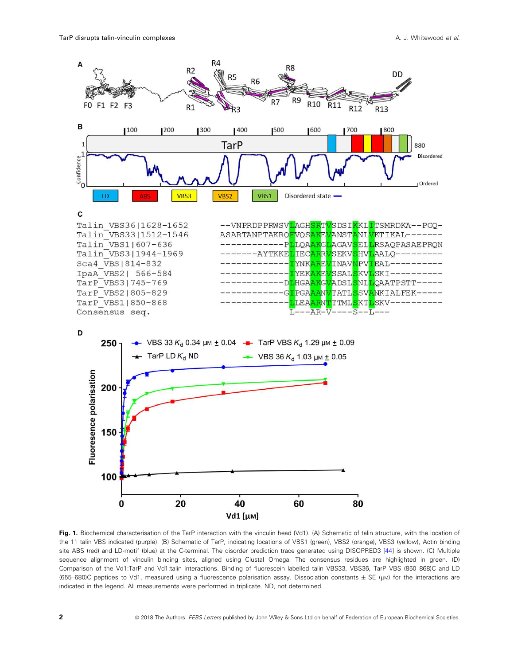

Fig. 1. Biochemical characterisation of the TarP interaction with the vinculin head (Vd1). (A) Schematic of talin structure, with the location of the 11 talin VBS indicated (purple). (B) Schematic of TarP, indicating locations of VBS1 (green), VBS2 (orange), VBS3 (yellow), Actin binding site ABS (red) and LD-motif (blue) at the C-terminal. The disorder prediction trace generated using DISOPRED3 [\[44\]](#page-9-0) is shown. (C) Multiple sequence alignment of vinculin binding sites, aligned using Clustal Omega. The consensus residues are highlighted in green. (D) Comparison of the Vd1:TarP and Vd1:talin interactions. Binding of fluorescein labelled talin VBS33, VBS36, TarP VBS (850–868)C and LD (655–680)C peptides to Vd1, measured using a fluorescence polarisation assay. Dissociation constants  $\pm$  SE ( $\mu$ M) for the interactions are indicated in the legend. All measurements were performed in triplicate. ND, not determined.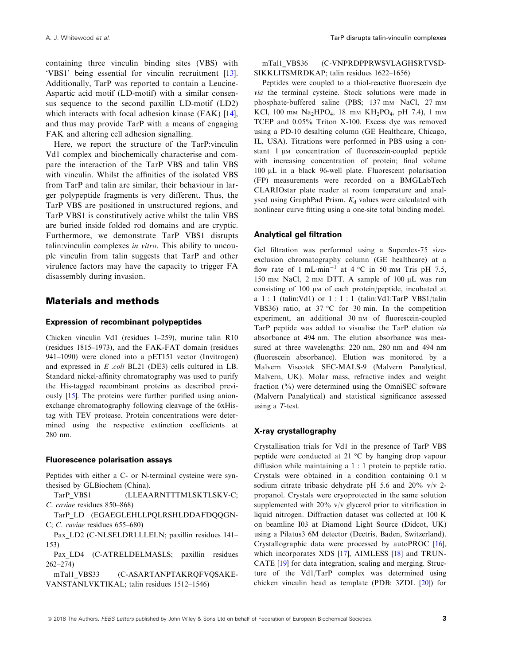<span id="page-3-0"></span>containing three vinculin binding sites (VBS) with 'VBS1' being essential for vinculin recruitment [[13](#page-8-0)]. Additionally, TarP was reported to contain a Leucine-Aspartic acid motif (LD-motif) with a similar consensus sequence to the second paxillin LD-motif (LD2) which interacts with focal adhesion kinase (FAK) [[14](#page-8-0)], and thus may provide TarP with a means of engaging FAK and altering cell adhesion signalling.

Here, we report the structure of the TarP:vinculin Vd1 complex and biochemically characterise and compare the interaction of the TarP VBS and talin VBS with vinculin. Whilst the affinities of the isolated VBS from TarP and talin are similar, their behaviour in larger polypeptide fragments is very different. Thus, the TarP VBS are positioned in unstructured regions, and TarP VBS1 is constitutively active whilst the talin VBS are buried inside folded rod domains and are cryptic. Furthermore, we demonstrate TarP VBS1 disrupts talin:vinculin complexes in vitro. This ability to uncouple vinculin from talin suggests that TarP and other virulence factors may have the capacity to trigger FA disassembly during invasion.

#### Materials and methods

#### Expression of recombinant polypeptides

Chicken vinculin Vd1 (residues 1–259), murine talin R10 (residues 1815–1973), and the FAK-FAT domain (residues 941–1090) were cloned into a pET151 vector (Invitrogen) and expressed in E .coli BL21 (DE3) cells cultured in LB. Standard nickel-affinity chromatography was used to purify the His-tagged recombinant proteins as described previously [[15](#page-8-0)]. The proteins were further purified using anionexchange chromatography following cleavage of the 6xHistag with TEV protease. Protein concentrations were determined using the respective extinction coefficients at 280 nm.

#### Fluorescence polarisation assays

Peptides with either a C- or N-terminal cysteine were synthesised by GLBiochem (China).

TarP\_VBS1 (LLEAARNTTTMLSKTLSKV-C; C. caviae residues 850–868)

TarP\_LD (EGAEGLEHLLPQLRSHLDDAFDQQGN-C; C. caviae residues 655–680)

Pax\_LD2 (C-NLSELDRLLLELN; paxillin residues 141– 153)

Pax LD4 (C-ATRELDELMASLS; paxillin residues 262–274)

mTal1\_VBS33 (C-ASARTANPTAKRQFVQSAKE-VANSTANLVKTIKAL; talin residues 1512–1546)

mTal1\_VBS36 (C-VNPRDPPRWSVLAGHSRTVSD-SIKKLITSMRDKAP; talin residues 1622–1656)

Peptides were coupled to a thiol-reactive fluorescein dye via the terminal cysteine. Stock solutions were made in phosphate-buffered saline (PBS; 137 mm NaCl, 27 mm KCl, 100 mm  $Na<sub>2</sub>HPO<sub>4</sub>$ , 18 mm  $KH<sub>2</sub>PO<sub>4</sub>$ , pH 7.4), 1 mm TCEP and 0.05% Triton X-100. Excess dye was removed using a PD-10 desalting column (GE Healthcare, Chicago, IL, USA). Titrations were performed in PBS using a constant  $1 \mu$ M concentration of fluorescein-coupled peptide with increasing concentration of protein; final volume  $100 \mu L$  in a black 96-well plate. Fluorescent polarisation (FP) measurements were recorded on a BMGLabTech CLARIOstar plate reader at room temperature and analysed using GraphPad Prism.  $K_d$  values were calculated with nonlinear curve fitting using a one-site total binding model.

#### Analytical gel filtration

Gel filtration was performed using a Superdex-75 sizeexclusion chromatography column (GE healthcare) at a flow rate of  $1 \text{ mL-min}^{-1}$  at  $4 \text{ °C}$  in 50 mm Tris pH 7.5, 150 mm NaCl, 2 mm DTT. A sample of 100 uL was run consisting of 100  $\mu$ M of each protein/peptide, incubated at a  $1:1$  (talin:Vd1) or  $1:1:1$  (talin:Vd1:TarP VBS1/talin VBS36) ratio, at 37 °C for 30 min. In the competition experiment, an additional 30 nm of fluorescein-coupled TarP peptide was added to visualise the TarP elution via absorbance at 494 nm. The elution absorbance was measured at three wavelengths: 220 nm, 280 nm and 494 nm (fluorescein absorbance). Elution was monitored by a Malvern Viscotek SEC-MALS-9 (Malvern Panalytical, Malvern, UK). Molar mass, refractive index and weight fraction (%) were determined using the OmniSEC software (Malvern Panalytical) and statistical significance assessed using a T-test.

#### X-ray crystallography

Crystallisation trials for Vd1 in the presence of TarP VBS peptide were conducted at 21 °C by hanging drop vapour diffusion while maintaining a 1 : 1 protein to peptide ratio. Crystals were obtained in a condition containing 0.1 <sup>M</sup> sodium citrate tribasic dehydrate pH 5.6 and 20%  $v/v$  2propanol. Crystals were cryoprotected in the same solution supplemented with  $20\%$  v/v glycerol prior to vitrification in liquid nitrogen. Diffraction dataset was collected at 100 K on beamline I03 at Diamond Light Source (Didcot, UK) using a Pilatus3 6M detector (Dectris, Baden, Switzerland). Crystallographic data were processed by autoPROC [\[16\]](#page-8-0), which incorporates XDS [[17\]](#page-8-0), AIMLESS [\[18\]](#page-8-0) and TRUN-CATE [[19\]](#page-8-0) for data integration, scaling and merging. Structure of the Vd1/TarP complex was determined using chicken vinculin head as template (PDB: [3ZDL](http://www.rcsb.org/pdb/search/structidSearch.do?structureId=3ZDL) [[20\]](#page-8-0)) for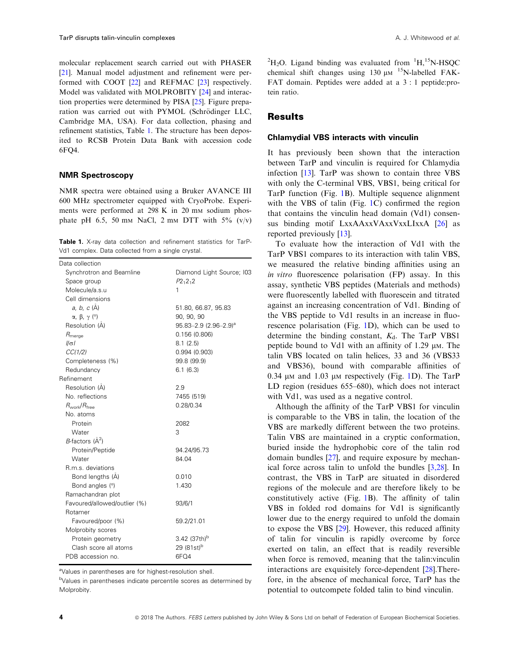molecular replacement search carried out with PHASER [\[21\]](#page-8-0). Manual model adjustment and refinement were performed with COOT [\[22\]](#page-8-0) and REFMAC [\[23\]](#page-8-0) respectively. Model was validated with MOLPROBITY [\[24\]](#page-8-0) and interaction properties were determined by PISA [[25\]](#page-8-0). Figure preparation was carried out with PYMOL (Schrödinger LLC, Cambridge MA, USA). For data collection, phasing and refinement statistics, Table [1.](#page-3-0) The structure has been deposited to RCSB Protein Data Bank with accession code 6FQ4.

#### NMR Spectroscopy

NMR spectra were obtained using a Bruker AVANCE III 600 MHz spectrometer equipped with CryoProbe. Experiments were performed at 298 K in 20 mm sodium phosphate pH 6.5, 50 mm NaCl, 2 mm DTT with 5%  $(v/v)$ 

Table 1. X-ray data collection and refinement statistics for TarP-Vd1 complex. Data collected from a single crystal.

| Data collection                   |                                |
|-----------------------------------|--------------------------------|
| Synchrotron and Beamline          | Diamond Light Source; I03      |
| Space group                       | P2,2,2                         |
| Molecule/a.s.u                    | 1                              |
| Cell dimensions                   |                                |
| a, b, $c(\mathbf{A})$             | 51.80, 66.87, 95.83            |
| $\alpha$ , $\beta$ , $\gamma$ (°) | 90, 90, 90                     |
| Resolution (A)                    | $95.83 - 2.9$ $(2.96 - 2.9)^a$ |
| $R_{\text{merae}}$                | 0.156(0.806)                   |
| $  \sigma  $                      | 8.1(2.5)                       |
| CC(1/2)                           | 0.994(0.903)                   |
| Completeness (%)                  | 99.8 (99.9)                    |
| Redundancy                        | 6.1(6.3)                       |
| Refinement                        |                                |
| Resolution (A)                    | 2.9                            |
| No. reflections                   | 7455 (519)                     |
| $R_{work}/R_{\text{freq}}$        | 0.28/0.34                      |
| No. atoms                         |                                |
| Protein                           | 2082                           |
| Water                             | 3                              |
| $B$ -factors ( $\AA^2$ )          |                                |
| Protein/Peptide                   | 94.24/95.73                    |
| Water                             | 84.04                          |
| R.m.s. deviations                 |                                |
| Bond lengths (A)                  | 0.010                          |
| Bond angles (°)                   | 1.430                          |
| Ramachandran plot                 |                                |
| Favoured/allowed/outlier (%)      | 93/6/1                         |
| Rotamer                           |                                |
| Favoured/poor (%)                 | 59.2/21.01                     |
| Molprobity scores                 |                                |
| Protein geometry                  | 3.42 (37th) <sup>b</sup>       |
| Clash score all atoms             | 29 (81st) <sup>b</sup>         |
| PDB accession no.                 | 6FQ4                           |
|                                   |                                |

<sup>a</sup>Values in parentheses are for highest-resolution shell.

bValues in parentheses indicate percentile scores as determined by Molprobity.

 ${}^{2}H_{2}O$ . Ligand binding was evaluated from  ${}^{1}H, {}^{15}N\text{-HSQC}$ chemical shift changes using  $130 \mu M$ <sup>15</sup>N-labelled FAK-FAT domain. Peptides were added at a 3 : 1 peptide:protein ratio.

#### Results

#### Chlamydial VBS interacts with vinculin

It has previously been shown that the interaction between TarP and vinculin is required for Chlamydia infection [\[13\]](#page-8-0). TarP was shown to contain three VBS with only the C-terminal VBS, VBS1, being critical for TarP function (Fig. [1](#page-1-0)B). Multiple sequence alignment with the VBS of talin (Fig. [1C](#page-1-0)) confirmed the region that contains the vinculin head domain (Vd1) consensus binding motif LxxAAxxVAxxVxxLIxxA [[26](#page-8-0)] as reported previously [[13](#page-8-0)].

To evaluate how the interaction of Vd1 with the TarP VBS1 compares to its interaction with talin VBS, we measured the relative binding affinities using an in vitro fluorescence polarisation (FP) assay. In this assay, synthetic VBS peptides (Materials and methods) were fluorescently labelled with fluorescein and titrated against an increasing concentration of Vd1. Binding of the VBS peptide to Vd1 results in an increase in fluorescence polarisation (Fig. [1D](#page-1-0)), which can be used to determine the binding constant,  $K_d$ . The TarP VBS1 peptide bound to Vd1 with an affinity of  $1.29 \mu$ M. The talin VBS located on talin helices, 33 and 36 (VBS33 and VBS36), bound with comparable affinities of 0.34  $\mu$ m and [1](#page-1-0).03  $\mu$ m respectively (Fig. 1D). The TarP LD region (residues 655–680), which does not interact with Vd1, was used as a negative control.

Although the affinity of the TarP VBS1 for vinculin is comparable to the VBS in talin, the location of the VBS are markedly different between the two proteins. Talin VBS are maintained in a cryptic conformation, buried inside the hydrophobic core of the talin rod domain bundles [\[27\]](#page-8-0), and require exposure by mechanical force across talin to unfold the bundles [[3,28](#page-8-0)]. In contrast, the VBS in TarP are situated in disordered regions of the molecule and are therefore likely to be constitutively active (Fig. [1B](#page-1-0)). The affinity of talin VBS in folded rod domains for Vd1 is significantly lower due to the energy required to unfold the domain to expose the VBS [\[29\]](#page-9-0). However, this reduced affinity of talin for vinculin is rapidly overcome by force exerted on talin, an effect that is readily reversible when force is removed, meaning that the talin:vinculin interactions are exquisitely force-dependent [\[28\]](#page-9-0).Therefore, in the absence of mechanical force, TarP has the potential to outcompete folded talin to bind vinculin.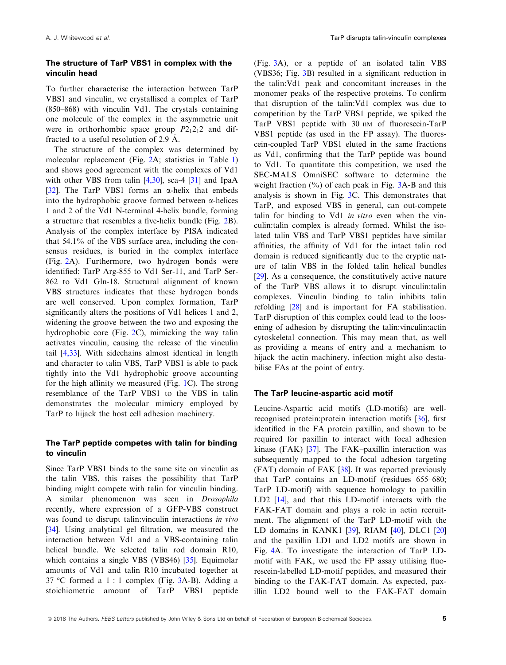#### The structure of TarP VBS1 in complex with the vinculin head

To further characterise the interaction between TarP VBS1 and vinculin, we crystallised a complex of TarP (850–868) with vinculin Vd1. The crystals containing one molecule of the complex in the asymmetric unit were in orthorhombic space group  $P2_12_12$  and diffracted to a useful resolution of  $2.9 \text{ Å}.$ 

The structure of the complex was determined by molecular replacement (Fig. 2A; statistics in Table [1](#page-3-0)) and shows good agreement with the complexes of Vd1 with other VBS from talin [[4,30](#page-8-0)], sca-4 [\[31\]](#page-9-0) and IpaA [\[32\]](#page-9-0). The TarP VBS1 forms an  $\alpha$ -helix that embeds into the hydrophobic groove formed between  $\alpha$ -helices 1 and 2 of the Vd1 N-terminal 4-helix bundle, forming a structure that resembles a five-helix bundle (Fig. 2B). Analysis of the complex interface by PISA indicated that 54.1% of the VBS surface area, including the consensus residues, is buried in the complex interface (Fig. 2A). Furthermore, two hydrogen bonds were identified: TarP Arg-855 to Vd1 Ser-11, and TarP Ser-862 to Vd1 Gln-18. Structural alignment of known VBS structures indicates that these hydrogen bonds are well conserved. Upon complex formation, TarP significantly alters the positions of Vd1 helices 1 and 2, widening the groove between the two and exposing the hydrophobic core (Fig. 2C), mimicking the way talin activates vinculin, causing the release of the vinculin tail [\[4,33\]](#page-8-0). With sidechains almost identical in length and character to talin VBS, TarP VBS1 is able to pack tightly into the Vd1 hydrophobic groove accounting for the high affinity we measured (Fig. [1](#page-1-0)C). The strong resemblance of the TarP VBS1 to the VBS in talin demonstrates the molecular mimicry employed by TarP to hijack the host cell adhesion machinery.

#### The TarP peptide competes with talin for binding to vinculin

Since TarP VBS1 binds to the same site on vinculin as the talin VBS, this raises the possibility that TarP binding might compete with talin for vinculin binding. A similar phenomenon was seen in Drosophila recently, where expression of a GFP-VBS construct was found to disrupt talin:vinculin interactions in vivo [\[34\]](#page-9-0). Using analytical gel filtration, we measured the interaction between Vd1 and a VBS-containing talin helical bundle. We selected talin rod domain R10, which contains a single VBS (VBS46) [\[35\]](#page-9-0). Equimolar amounts of Vd1 and talin R10 incubated together at 37 °C formed a  $1:1$  complex (Fig. 3A-B). Adding a stoichiometric amount of TarP VBS1 peptide (Fig. 3A), or a peptide of an isolated talin VBS (VBS36; Fig. 3B) resulted in a significant reduction in the talin:Vd1 peak and concomitant increases in the monomer peaks of the respective proteins. To confirm that disruption of the talin:Vd1 complex was due to competition by the TarP VBS1 peptide, we spiked the TarP VBS1 peptide with 30 nm of fluorescein-TarP VBS1 peptide (as used in the FP assay). The fluorescein-coupled TarP VBS1 eluted in the same fractions as Vd1, confirming that the TarP peptide was bound to Vd1. To quantitate this competition, we used the SEC-MALS OmniSEC software to determine the weight fraction  $(\frac{9}{0})$  of each peak in Fig. 3A-B and this analysis is shown in Fig. 3C. This demonstrates that TarP, and exposed VBS in general, can out-compete talin for binding to Vd1 in vitro even when the vinculin:talin complex is already formed. Whilst the isolated talin VBS and TarP VBS1 peptides have similar affinities, the affinity of Vd1 for the intact talin rod domain is reduced significantly due to the cryptic nature of talin VBS in the folded talin helical bundles [[29](#page-9-0)]. As a consequence, the constitutively active nature of the TarP VBS allows it to disrupt vinculin:talin complexes. Vinculin binding to talin inhibits talin refolding [\[28\]](#page-9-0) and is important for FA stabilisation. TarP disruption of this complex could lead to the loosening of adhesion by disrupting the talin:vinculin:actin cytoskeletal connection. This may mean that, as well as providing a means of entry and a mechanism to hijack the actin machinery, infection might also destabilise FAs at the point of entry.

#### The TarP leucine-aspartic acid motif

Leucine-Aspartic acid motifs (LD-motifs) are wellrecognised protein:protein interaction motifs [\[36\]](#page-9-0), first identified in the FA protein paxillin, and shown to be required for paxillin to interact with focal adhesion kinase (FAK) [\[37\]](#page-9-0). The FAK–paxillin interaction was subsequently mapped to the focal adhesion targeting (FAT) domain of FAK [[38](#page-9-0)]. It was reported previously that TarP contains an LD-motif (residues 655–680; TarP LD-motif) with sequence homology to paxillin LD2 [[14\]](#page-8-0), and that this LD-motif interacts with the FAK-FAT domain and plays a role in actin recruitment. The alignment of the TarP LD-motif with the LD domains in KANK1 [[39](#page-9-0)], RIAM [[40](#page-9-0)], DLC1 [[20\]](#page-8-0) and the paxillin LD1 and LD2 motifs are shown in Fig. [4](#page-7-0)A. To investigate the interaction of TarP LDmotif with FAK, we used the FP assay utilising fluorescein-labelled LD-motif peptides, and measured their binding to the FAK-FAT domain. As expected, paxillin LD2 bound well to the FAK-FAT domain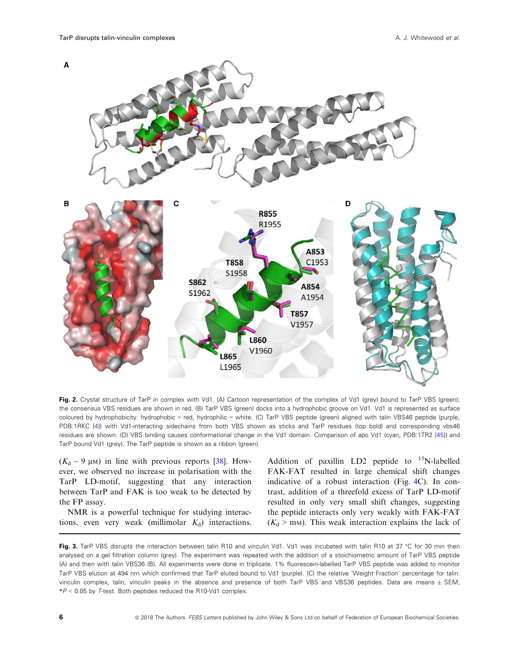

Fig. 2. Crystal structure of TarP in complex with Vd1. (A) Cartoon representation of the complex of Vd1 (grey) bound to TarP VBS (green); the consensus VBS residues are shown in red. (B) TarP VBS (green) docks into a hydrophobic groove on Vd1. Vd1 is represented as surface coloured by hydrophobicity: hydrophobic = red, hydrophilic = white. (C) TarP VBS peptide (green) aligned with talin VBS46 peptide (purple, PDB:[1RKC](http://www.rcsb.org/pdb/search/structidSearch.do?structureId=1RKC) [\[4\]](#page-8-0)) with Vd1-interacting sidechains from both VBS shown as sticks and TarP residues (top bold) and corresponding vbs46 residues are shown. (D) VBS binding causes conformational change in the Vd1 domain. Comparison of apo Vd1 (cyan, PDB:[1TR2](http://www.rcsb.org/pdb/search/structidSearch.do?structureId=1TR2) [\[45](#page-9-0)]) and TarP bound Vd1 (grey). The TarP peptide is shown as a ribbon (green).

 $(K_d \sim 9 \mu)$  in line with previous reports [[38](#page-9-0)]. However, we observed no increase in polarisation with the TarP LD-motif, suggesting that any interaction between TarP and FAK is too weak to be detected by the FP assay.

NMR is a powerful technique for studying interactions, even very weak (millimolar  $K_d$ ) interactions. Addition of paxillin LD2 peptide to <sup>15</sup>N-labelled FAK-FAT resulted in large chemical shift changes indicative of a robust interaction (Fig. [4](#page-7-0)C). In contrast, addition of a threefold excess of TarP LD-motif resulted in only very small shift changes, suggesting the peptide interacts only very weakly with FAK-FAT  $(K_d > \text{mM})$ . This weak interaction explains the lack of

Fig. 3. TarP VBS disrupts the interaction between talin R10 and vinculin Vd1. Vd1 was incubated with talin R10 at 37 °C for 30 min then analysed on a gel filtration column (grey). The experiment was repeated with the addition of a stoichiometric amount of TarP VBS peptide (A) and then with talin VBS36 (B). All experiments were done in triplicate. 1% fluorescein-labelled TarP VBS peptide was added to monitor TarP VBS elution at 494 nm which confirmed that TarP eluted bound to Vd1 (purple). (C) the relative 'Weight Fraction' percentage for talin: vinculin complex, talin, vinculin peaks in the absence and presence of both TarP VBS and VBS36 peptides. Data are means  $\pm$  SEM;  $*P < 0.05$  by T-test. Both peptides reduced the R10-Vd1 complex.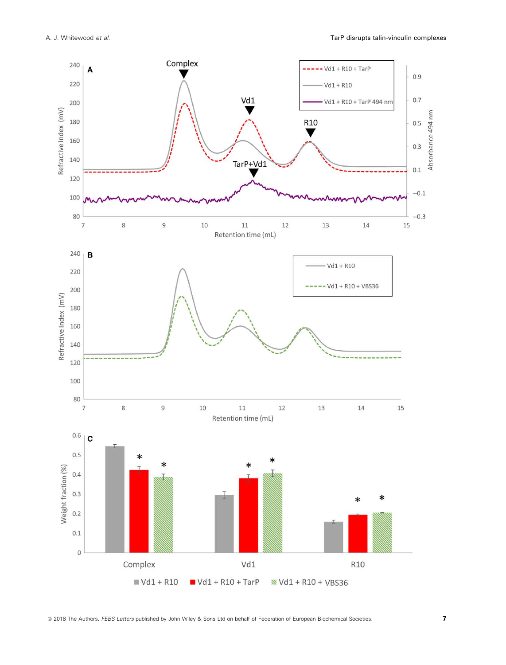<span id="page-7-0"></span>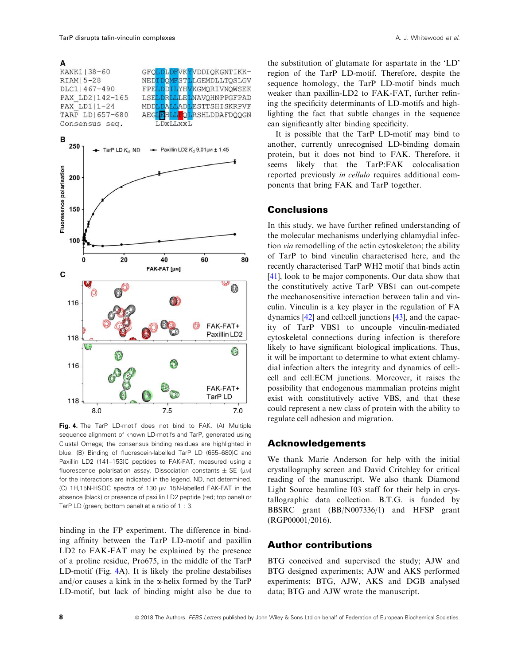<span id="page-8-0"></span>A KANK1 | 38-60 RIAM | 5-28 DLC11467-490 PAX LD2|142-165  $PAX$ LD1|1-24



VK<sup></sup>

LSELDRLLLELNAVQHNPPGFPAD

 $\overline{1}$ . $\overline{D}$ 

QME **ST** 

LDDILYHV

GFO

FPF

**MDD** 

**NEDID** 

r n

VDDIOKGNTIKK-

LGEMDLLTOSLGV

KGMORIVNOWSEK

Fig. 4. The TarP LD-motif does not bind to FAK. (A) Multiple sequence alignment of known LD-motifs and TarP, generated using Clustal Omega; the consensus binding residues are highlighted in blue. (B) Binding of fluorescein-labelled TarP LD (655–680)C and Paxillin LD2 (141–153)C peptides to FAK-FAT, measured using a fluorescence polarisation assay. Dissociation constants  $\pm$  SE (um) for the interactions are indicated in the legend. ND, not determined. (C) 1H,15N-HSQC spectra of 130 um 15N-labelled FAK-FAT in the absence (black) or presence of paxillin LD2 peptide (red; top panel) or TarP LD (green; bottom panel) at a ratio of 1 : 3.

binding in the FP experiment. The difference in binding affinity between the TarP LD-motif and paxillin LD2 to FAK-FAT may be explained by the presence of a proline residue, Pro675, in the middle of the TarP LD-motif (Fig. [4](#page-7-0)A). It is likely the proline destabilises and/or causes a kink in the  $\alpha$ -helix formed by the TarP LD-motif, but lack of binding might also be due to

the substitution of glutamate for aspartate in the 'LD' region of the TarP LD-motif. Therefore, despite the sequence homology, the TarP LD-motif binds much weaker than paxillin-LD2 to FAK-FAT, further refining the specificity determinants of LD-motifs and highlighting the fact that subtle changes in the sequence can significantly alter binding specificity.

It is possible that the TarP LD-motif may bind to another, currently unrecognised LD-binding domain protein, but it does not bind to FAK. Therefore, it seems likely that the TarP:FAK colocalisation reported previously in cellulo requires additional components that bring FAK and TarP together.

#### **Conclusions**

In this study, we have further refined understanding of the molecular mechanisms underlying chlamydial infection via remodelling of the actin cytoskeleton; the ability of TarP to bind vinculin characterised here, and the recently characterised TarP WH2 motif that binds actin [\[41\]](#page-9-0), look to be major components. Our data show that the constitutively active TarP VBS1 can out-compete the mechanosensitive interaction between talin and vinculin. Vinculin is a key player in the regulation of FA dynamics [\[42\]](#page-9-0) and cell:cell junctions [[43](#page-9-0)], and the capacity of TarP VBS1 to uncouple vinculin-mediated cytoskeletal connections during infection is therefore likely to have significant biological implications. Thus, it will be important to determine to what extent chlamydial infection alters the integrity and dynamics of cell: cell and cell:ECM junctions. Moreover, it raises the possibility that endogenous mammalian proteins might exist with constitutively active VBS, and that these could represent a new class of protein with the ability to regulate cell adhesion and migration.

#### Acknowledgements

We thank Marie Anderson for help with the initial crystallography screen and David Critchley for critical reading of the manuscript. We also thank Diamond Light Source beamline I03 staff for their help in crystallographic data collection. B.T.G. is funded by BBSRC grant (BB/N007336/1) and HFSP grant (RGP00001/2016).

#### Author contributions

BTG conceived and supervised the study; AJW and BTG designed experiments; AJW and AKS performed experiments; BTG, AJW, AKS and DGB analysed data; BTG and AJW wrote the manuscript.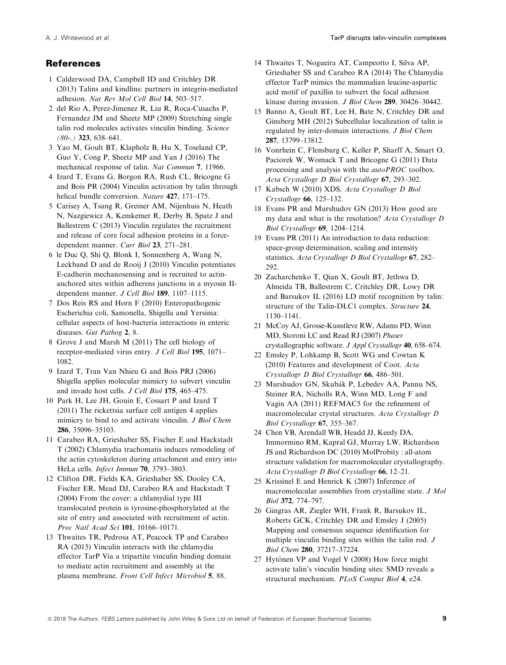#### <span id="page-9-0"></span>References

- 1 Calderwood DA, Campbell ID and Critchley DR (2013) Talins and kindlins: partners in integrin-mediated adhesion. Nat Rev Mol Cell Biol 14, 503–517.
- 2 del Rio A, Perez-Jimenez R, Liu R, Roca-Cusachs P, Fernandez JM and Sheetz MP (2009) Stretching single talin rod molecules activates vinculin binding. Science (80-.) 323, 638–641.
- 3 Yao M, Goult BT, Klapholz B, Hu X, Toseland CP, Guo Y, Cong P, Sheetz MP and Yan J (2016) The mechanical response of talin. Nat Commun 7, 11966.
- 4 Izard T, Evans G, Borgon RA, Rush CL, Bricogne G and Bois PR (2004) Vinculin activation by talin through helical bundle conversion. Nature 427, 171-175.
- 5 Carisey A, Tsang R, Greiner AM, Nijenhuis N, Heath N, Nazgiewicz A, Kemkemer R, Derby B, Spatz J and Ballestrem C (2013) Vinculin regulates the recruitment and release of core focal adhesion proteins in a forcedependent manner. Curr Biol 23, 271–281.
- 6 le Duc Q, Shi Q, Blonk I, Sonnenberg A, Wang N, Leckband D and de Rooij J (2010) Vinculin potentiates E-cadherin mechanosensing and is recruited to actinanchored sites within adherens junctions in a myosin IIdependent manner. J Cell Biol 189, 1107-1115.
- 7 Dos Reis RS and Horn F (2010) Enteropathogenic Escherichia coli, Samonella, Shigella and Yersinia: cellular aspects of host-bacteria interactions in enteric diseases. Gut Pathog 2, 8.
- 8 Grove J and Marsh M (2011) The cell biology of receptor-mediated virus entry. J Cell Biol 195, 1071– 1082.
- 9 Izard T, Tran Van Nhieu G and Bois PRJ (2006) Shigella applies molecular mimicry to subvert vinculin and invade host cells. J Cell Biol 175, 465–475.
- 10 Park H, Lee JH, Gouin E, Cossart P and Izard T (2011) The rickettsia surface cell antigen 4 applies mimicry to bind to and activate vinculin. J Biol Chem 286, 35096–35103.
- 11 Carabeo RA, Grieshaber SS, Fischer E and Hackstadt T (2002) Chlamydia trachomatis induces remodeling of the actin cytoskeleton during attachment and entry into HeLa cells. Infect Immun 70, 3793–3803.
- 12 Clifton DR, Fields KA, Grieshaber SS, Dooley CA, Fischer ER, Mead DJ, Carabeo RA and Hackstadt T (2004) From the cover: a chlamydial type III translocated protein is tyrosine-phosphorylated at the site of entry and associated with recruitment of actin. Proc Natl Acad Sci 101, 10166–10171.
- 13 Thwaites TR, Pedrosa AT, Peacock TP and Carabeo RA (2015) Vinculin interacts with the chlamydia effector TarP Via a tripartite vinculin binding domain to mediate actin recruitment and assembly at the plasma membrane. Front Cell Infect Microbiol 5, 88.
- 14 Thwaites T, Nogueira AT, Campeotto I, Silva AP, Grieshaber SS and Carabeo RA (2014) The Chlamydia effector TarP mimics the mammalian leucine-aspartic acid motif of paxillin to subvert the focal adhesion kinase during invasion. J Biol Chem 289, 30426–30442.
- 15 Banno A, Goult BT, Lee H, Bate N, Critchley DR and Ginsberg MH (2012) Subcellular localization of talin is regulated by inter-domain interactions. J Biol Chem 287, 13799–13812.
- 16 Vonrhein C, Flensburg C, Keller P, Sharff A, Smart O, Paciorek W, Womack T and Bricogne G (2011) Data processing and analysis with the autoPROC toolbox. Acta Crystallogr D Biol Crystallogr 67, 293–302.
- 17 Kabsch W (2010) XDS. Acta Crystallogr D Biol Crystallogr 66, 125–132.
- 18 Evans PR and Murshudov GN (2013) How good are my data and what is the resolution? Acta Crystallogr D Biol Crystallogr 69, 1204–1214.
- 19 Evans PR (2011) An introduction to data reduction: space-group determination, scaling and intensity statistics. Acta Crystallogr D Biol Crystallogr 67, 282– 292.
- 20 Zacharchenko T, Qian X, Goult BT, Jethwa D, Almeida TB, Ballestrem C, Critchley DR, Lowy DR and Barsukov IL (2016) LD motif recognition by talin: structure of the Talin-DLC1 complex. Structure 24, 1130–1141.
- 21 McCoy AJ, Grosse-Kunstleve RW, Adams PD, Winn MD, Storoni LC and Read RJ (2007) Phaser crystallographic software. J Appl Crystallogr 40, 658–674.
- 22 Emsley P, Lohkamp B, Scott WG and Cowtan K (2010) Features and development of Coot. Acta Crystallogr D Biol Crystallogr 66, 486–501.
- 23 Murshudov GN, Skubak P, Lebedev AA, Pannu NS, Steiner RA, Nicholls RA, Winn MD, Long F and Vagin AA (2011) REFMAC5 for the refinement of macromolecular crystal structures. Acta Crystallogr D Biol Crystallogr 67, 355–367.
- 24 Chen VB, Arendall WB, Headd JJ, Keedy DA, Immormino RM, Kapral GJ, Murray LW, Richardson JS and Richardson DC (2010) MolProbity : all-atom structure validation for macromolecular crystallography. Acta Crystallogr D Biol Crystallogr 66, 12–21.
- 25 Krissinel E and Henrick K (2007) Inference of macromolecular assemblies from crystalline state. J Mol Biol 372, 774–797.
- 26 Gingras AR, Ziegler WH, Frank R, Barsukov IL, Roberts GCK, Critchley DR and Emsley J (2005) Mapping and consensus sequence identification for multiple vinculin binding sites within the talin rod. J Biol Chem 280, 37217–37224.
- 27 Hytönen VP and Vogel V (2008) How force might activate talin's vinculin binding sites: SMD reveals a structural mechanism. PLoS Comput Biol 4, e24.